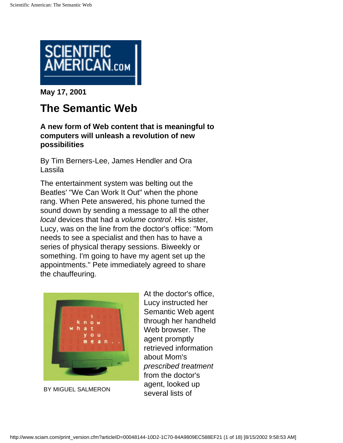

**May 17, 2001**

### **The Semantic Web**

**A new form of Web content that is meaningful to computers will unleash a revolution of new possibilities**

By Tim Berners-Lee, James Hendler and Ora Lassila

The entertainment system was belting out the Beatles' "We Can Work It Out" when the phone rang. When Pete answered, his phone turned the sound down by sending a message to all the other *local* devices that had a *volume control*. His sister, Lucy, was on the line from the doctor's office: "Mom needs to see a specialist and then has to have a series of physical therapy sessions. Biweekly or something. I'm going to have my agent set up the appointments." Pete immediately agreed to share the chauffeuring.



BY MIGUEL SALMERON

At the doctor's office, Lucy instructed her Semantic Web agent through her handheld Web browser. The agent promptly retrieved information about Mom's *prescribed treatment* from the doctor's agent, looked up several lists of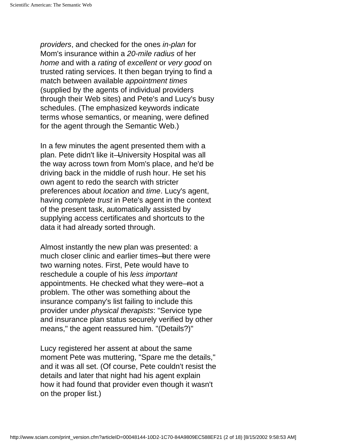*providers*, and checked for the ones *in-plan* for Mom's insurance within a *20-mile radius* of her *home* and with a *rating* of *excellent* or *very good* on trusted rating services. It then began trying to find a match between available *appointment times* (supplied by the agents of individual providers through their Web sites) and Pete's and Lucy's busy schedules. (The emphasized keywords indicate terms whose semantics, or meaning, were defined for the agent through the Semantic Web.)

In a few minutes the agent presented them with a plan. Pete didn't like it—University Hospital was all the way across town from Mom's place, and he'd be driving back in the middle of rush hour. He set his own agent to redo the search with stricter preferences about *location* and *time*. Lucy's agent, having *complete trust* in Pete's agent in the context of the present task, automatically assisted by supplying access certificates and shortcuts to the data it had already sorted through.

Almost instantly the new plan was presented: a much closer clinic and earlier times—but there were two warning notes. First, Pete would have to reschedule a couple of his *less important* appointments. He checked what they were—not a problem. The other was something about the insurance company's list failing to include this provider under *physical therapists*: "Service type and insurance plan status securely verified by other means," the agent reassured him. "(Details?)"

Lucy registered her assent at about the same moment Pete was muttering, "Spare me the details," and it was all set. (Of course, Pete couldn't resist the details and later that night had his agent explain how it had found that provider even though it wasn't on the proper list.)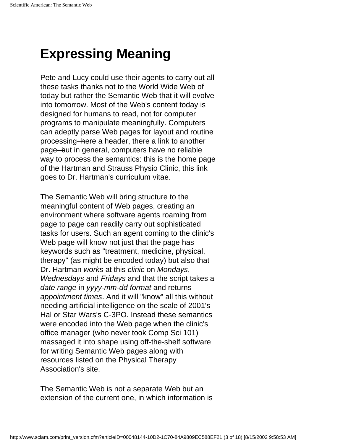# **Expressing Meaning**

Pete and Lucy could use their agents to carry out all these tasks thanks not to the World Wide Web of today but rather the Semantic Web that it will evolve into tomorrow. Most of the Web's content today is designed for humans to read, not for computer programs to manipulate meaningfully. Computers can adeptly parse Web pages for layout and routine processing—here a header, there a link to another page—but in general, computers have no reliable way to process the semantics: this is the home page of the Hartman and Strauss Physio Clinic, this link goes to Dr. Hartman's curriculum vitae.

The Semantic Web will bring structure to the meaningful content of Web pages, creating an environment where software agents roaming from page to page can readily carry out sophisticated tasks for users. Such an agent coming to the clinic's Web page will know not just that the page has keywords such as "treatment, medicine, physical, therapy" (as might be encoded today) but also that Dr. Hartman *works* at this *clinic* on *Mondays*, *Wednesdays* and *Fridays* and that the script takes a *date range* in *yyyy-mm-dd format* and returns *appointment times*. And it will "know" all this without needing artificial intelligence on the scale of 2001's Hal or Star Wars's C-3PO. Instead these semantics were encoded into the Web page when the clinic's office manager (who never took Comp Sci 101) massaged it into shape using off-the-shelf software for writing Semantic Web pages along with resources listed on the Physical Therapy Association's site.

The Semantic Web is not a separate Web but an extension of the current one, in which information is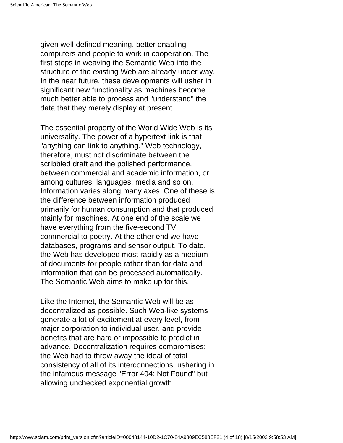given well-defined meaning, better enabling computers and people to work in cooperation. The first steps in weaving the Semantic Web into the structure of the existing Web are already under way. In the near future, these developments will usher in significant new functionality as machines become much better able to process and "understand" the data that they merely display at present.

The essential property of the World Wide Web is its universality. The power of a hypertext link is that "anything can link to anything." Web technology, therefore, must not discriminate between the scribbled draft and the polished performance, between commercial and academic information, or among cultures, languages, media and so on. Information varies along many axes. One of these is the difference between information produced primarily for human consumption and that produced mainly for machines. At one end of the scale we have everything from the five-second TV commercial to poetry. At the other end we have databases, programs and sensor output. To date, the Web has developed most rapidly as a medium of documents for people rather than for data and information that can be processed automatically. The Semantic Web aims to make up for this.

Like the Internet, the Semantic Web will be as decentralized as possible. Such Web-like systems generate a lot of excitement at every level, from major corporation to individual user, and provide benefits that are hard or impossible to predict in advance. Decentralization requires compromises: the Web had to throw away the ideal of total consistency of all of its interconnections, ushering in the infamous message "Error 404: Not Found" but allowing unchecked exponential growth.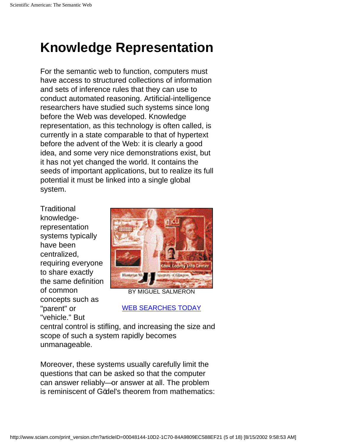# **Knowledge Representation**

For the semantic web to function, computers must have access to structured collections of information and sets of inference rules that they can use to conduct automated reasoning. Artificial-intelligence researchers have studied such systems since long before the Web was developed. Knowledge representation, as this technology is often called, is currently in a state comparable to that of hypertext before the advent of the Web: it is clearly a good idea, and some very nice demonstrations exist, but it has not yet changed the world. It contains the seeds of important applications, but to realize its full potential it must be linked into a single global system.

**Traditional** knowledgerepresentation systems typically have been centralized, requiring everyone to share exactly the same definition of common concepts such as "parent" or "vehicle." But



BY MIGUEL SALMERON

#### [WEB SEARCHES TODAY](http://www.sciam.com/article.cfm?articleid=00039D88-2C09-1CBF-B4A8809EC588EEDF)

central control is stifling, and increasing the size and scope of such a system rapidly becomes unmanageable.

Moreover, these systems usually carefully limit the questions that can be asked so that the computer can answer reliably—or answer at all. The problem is reminiscent of Gödel's theorem from mathematics: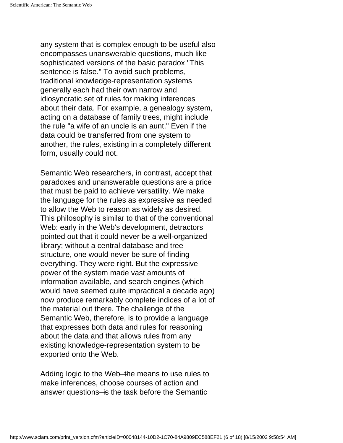any system that is complex enough to be useful also encompasses unanswerable questions, much like sophisticated versions of the basic paradox "This sentence is false." To avoid such problems, traditional knowledge-representation systems generally each had their own narrow and idiosyncratic set of rules for making inferences about their data. For example, a genealogy system, acting on a database of family trees, might include the rule "a wife of an uncle is an aunt." Even if the data could be transferred from one system to another, the rules, existing in a completely different form, usually could not.

Semantic Web researchers, in contrast, accept that paradoxes and unanswerable questions are a price that must be paid to achieve versatility. We make the language for the rules as expressive as needed to allow the Web to reason as widely as desired. This philosophy is similar to that of the conventional Web: early in the Web's development, detractors pointed out that it could never be a well-organized library; without a central database and tree structure, one would never be sure of finding everything. They were right. But the expressive power of the system made vast amounts of information available, and search engines (which would have seemed quite impractical a decade ago) now produce remarkably complete indices of a lot of the material out there. The challenge of the Semantic Web, therefore, is to provide a language that expresses both data and rules for reasoning about the data and that allows rules from any existing knowledge-representation system to be exported onto the Web.

Adding logic to the Web—the means to use rules to make inferences, choose courses of action and answer questions—is the task before the Semantic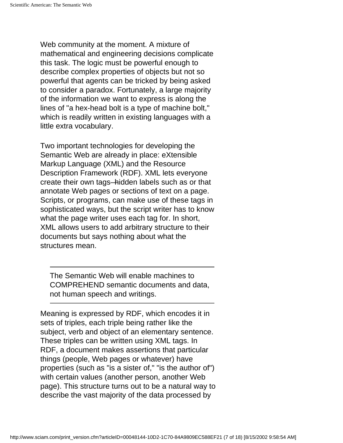Web community at the moment. A mixture of mathematical and engineering decisions complicate this task. The logic must be powerful enough to describe complex properties of objects but not so powerful that agents can be tricked by being asked to consider a paradox. Fortunately, a large majority of the information we want to express is along the lines of "a hex-head bolt is a type of machine bolt," which is readily written in existing languages with a little extra vocabulary.

Two important technologies for developing the Semantic Web are already in place: eXtensible Markup Language (XML) and the Resource Description Framework (RDF). XML lets everyone create their own tags—hidden labels such as or that annotate Web pages or sections of text on a page. Scripts, or programs, can make use of these tags in sophisticated ways, but the script writer has to know what the page writer uses each tag for. In short, XML allows users to add arbitrary structure to their documents but says nothing about what the structures mean.

The Semantic Web will enable machines to COMPREHEND semantic documents and data, not human speech and writings.

Meaning is expressed by RDF, which encodes it in sets of triples, each triple being rather like the subject, verb and object of an elementary sentence. These triples can be written using XML tags. In RDF, a document makes assertions that particular things (people, Web pages or whatever) have properties (such as "is a sister of," "is the author of") with certain values (another person, another Web page). This structure turns out to be a natural way to describe the vast majority of the data processed by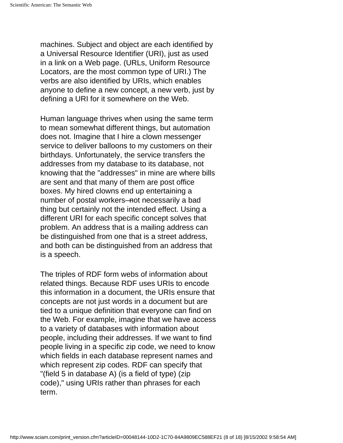machines. Subject and object are each identified by a Universal Resource Identifier (URI), just as used in a link on a Web page. (URLs, Uniform Resource Locators, are the most common type of URI.) The verbs are also identified by URIs, which enables anyone to define a new concept, a new verb, just by defining a URI for it somewhere on the Web.

Human language thrives when using the same term to mean somewhat different things, but automation does not. Imagine that I hire a clown messenger service to deliver balloons to my customers on their birthdays. Unfortunately, the service transfers the addresses from my database to its database, not knowing that the "addresses" in mine are where bills are sent and that many of them are post office boxes. My hired clowns end up entertaining a number of postal workers—not necessarily a bad thing but certainly not the intended effect. Using a different URI for each specific concept solves that problem. An address that is a mailing address can be distinguished from one that is a street address, and both can be distinguished from an address that is a speech.

The triples of RDF form webs of information about related things. Because RDF uses URIs to encode this information in a document, the URIs ensure that concepts are not just words in a document but are tied to a unique definition that everyone can find on the Web. For example, imagine that we have access to a variety of databases with information about people, including their addresses. If we want to find people living in a specific zip code, we need to know which fields in each database represent names and which represent zip codes. RDF can specify that "(field 5 in database A) (is a field of type) (zip code)," using URIs rather than phrases for each term.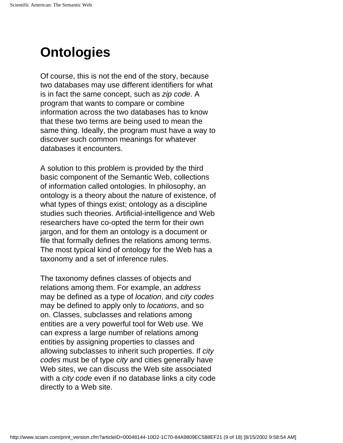# **Ontologies**

Of course, this is not the end of the story, because two databases may use different identifiers for what is in fact the same concept, such as *zip code*. A program that wants to compare or combine information across the two databases has to know that these two terms are being used to mean the same thing. Ideally, the program must have a way to discover such common meanings for whatever databases it encounters.

A solution to this problem is provided by the third basic component of the Semantic Web, collections of information called ontologies. In philosophy, an ontology is a theory about the nature of existence, of what types of things exist; ontology as a discipline studies such theories. Artificial-intelligence and Web researchers have co-opted the term for their own jargon, and for them an ontology is a document or file that formally defines the relations among terms. The most typical kind of ontology for the Web has a taxonomy and a set of inference rules.

The taxonomy defines classes of objects and relations among them. For example, an *address* may be defined as a type of *location*, and *city codes* may be defined to apply only to *locations*, and so on. Classes, subclasses and relations among entities are a very powerful tool for Web use. We can express a large number of relations among entities by assigning properties to classes and allowing subclasses to inherit such properties. If *city codes* must be of type *city* and cities generally have Web sites, we can discuss the Web site associated with a *city code* even if no database links a city code directly to a Web site.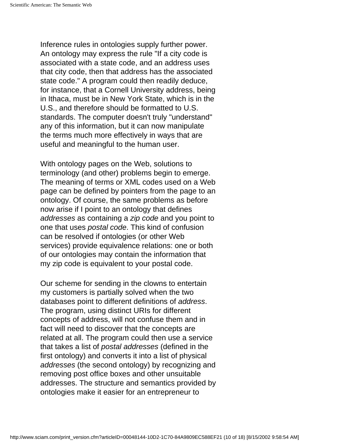Inference rules in ontologies supply further power. An ontology may express the rule "If a city code is associated with a state code, and an address uses that city code, then that address has the associated state code." A program could then readily deduce, for instance, that a Cornell University address, being in Ithaca, must be in New York State, which is in the U.S., and therefore should be formatted to U.S. standards. The computer doesn't truly "understand" any of this information, but it can now manipulate the terms much more effectively in ways that are useful and meaningful to the human user.

With ontology pages on the Web, solutions to terminology (and other) problems begin to emerge. The meaning of terms or XML codes used on a Web page can be defined by pointers from the page to an ontology. Of course, the same problems as before now arise if I point to an ontology that defines *addresses* as containing a *zip code* and you point to one that uses *postal code*. This kind of confusion can be resolved if ontologies (or other Web services) provide equivalence relations: one or both of our ontologies may contain the information that my zip code is equivalent to your postal code.

Our scheme for sending in the clowns to entertain my customers is partially solved when the two databases point to different definitions of *address*. The program, using distinct URIs for different concepts of address, will not confuse them and in fact will need to discover that the concepts are related at all. The program could then use a service that takes a list of *postal addresses* (defined in the first ontology) and converts it into a list of physical *addresses* (the second ontology) by recognizing and removing post office boxes and other unsuitable addresses. The structure and semantics provided by ontologies make it easier for an entrepreneur to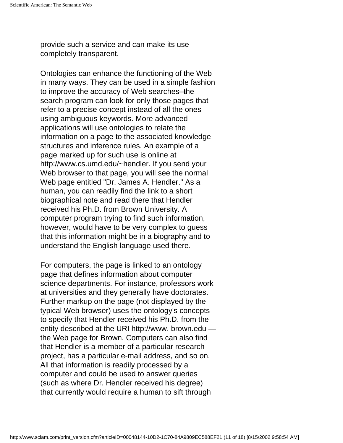provide such a service and can make its use completely transparent.

Ontologies can enhance the functioning of the Web in many ways. They can be used in a simple fashion to improve the accuracy of Web searches—the search program can look for only those pages that refer to a precise concept instead of all the ones using ambiguous keywords. More advanced applications will use ontologies to relate the information on a page to the associated knowledge structures and inference rules. An example of a page marked up for such use is online at http://www.cs.umd.edu/~hendler. If you send your Web browser to that page, you will see the normal Web page entitled "Dr. James A. Hendler." As a human, you can readily find the link to a short biographical note and read there that Hendler received his Ph.D. from Brown University. A computer program trying to find such information, however, would have to be very complex to guess that this information might be in a biography and to understand the English language used there.

For computers, the page is linked to an ontology page that defines information about computer science departments. For instance, professors work at universities and they generally have doctorates. Further markup on the page (not displayed by the typical Web browser) uses the ontology's concepts to specify that Hendler received his Ph.D. from the entity described at the URI http://www. brown.edu the Web page for Brown. Computers can also find that Hendler is a member of a particular research project, has a particular e-mail address, and so on. All that information is readily processed by a computer and could be used to answer queries (such as where Dr. Hendler received his degree) that currently would require a human to sift through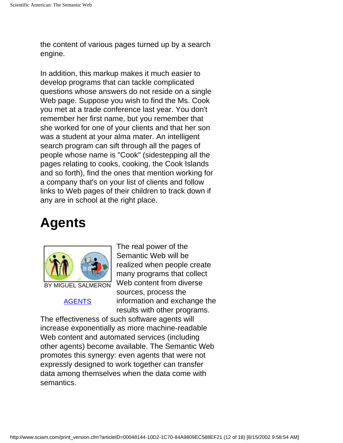the content of various pages turned up by a search engine.

In addition, this markup makes it much easier to develop programs that can tackle complicated questions whose answers do not reside on a single Web page. Suppose you wish to find the Ms. Cook you met at a trade conference last year. You don't remember her first name, but you remember that she worked for one of your clients and that her son was a student at your alma mater. An intelligent search program can sift through all the pages of people whose name is "Cook" (sidestepping all the pages relating to cooks, cooking, the Cook Islands and so forth), find the ones that mention working for a company that's on your list of clients and follow links to Web pages of their children to track down if any are in school at the right place.

# **Agents**



[AGENTS](http://www.sciam.com/article.cfm?articleid=	000A0919-2BD0-1CBF-B4A8809EC588EEDF)

The real power of the Semantic Web will be realized when people create many programs that collect Web content from diverse sources, process the information and exchange the results with other programs.

The effectiveness of such software agents will increase exponentially as more machine-readable Web content and automated services (including other agents) become available. The Semantic Web promotes this synergy: even agents that were not expressly designed to work together can transfer data among themselves when the data come with semantics.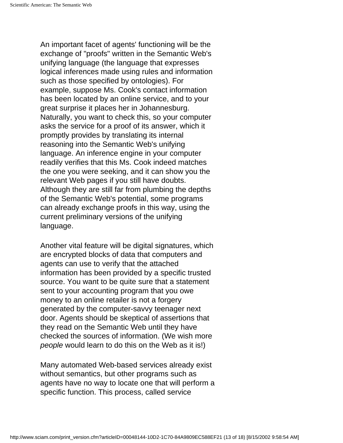An important facet of agents' functioning will be the exchange of "proofs" written in the Semantic Web's unifying language (the language that expresses logical inferences made using rules and information such as those specified by ontologies). For example, suppose Ms. Cook's contact information has been located by an online service, and to your great surprise it places her in Johannesburg. Naturally, you want to check this, so your computer asks the service for a proof of its answer, which it promptly provides by translating its internal reasoning into the Semantic Web's unifying language. An inference engine in your computer readily verifies that this Ms. Cook indeed matches the one you were seeking, and it can show you the relevant Web pages if you still have doubts. Although they are still far from plumbing the depths of the Semantic Web's potential, some programs can already exchange proofs in this way, using the current preliminary versions of the unifying language.

Another vital feature will be digital signatures, which are encrypted blocks of data that computers and agents can use to verify that the attached information has been provided by a specific trusted source. You want to be quite sure that a statement sent to your accounting program that you owe money to an online retailer is not a forgery generated by the computer-savvy teenager next door. Agents should be skeptical of assertions that they read on the Semantic Web until they have checked the sources of information. (We wish more *people* would learn to do this on the Web as it is!)

Many automated Web-based services already exist without semantics, but other programs such as agents have no way to locate one that will perform a specific function. This process, called service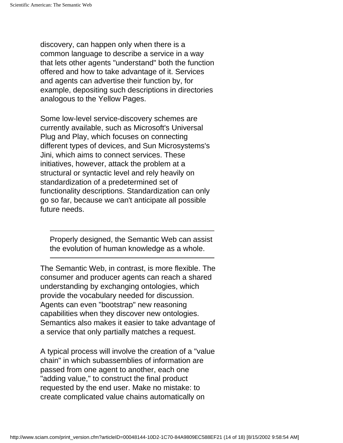discovery, can happen only when there is a common language to describe a service in a way that lets other agents "understand" both the function offered and how to take advantage of it. Services and agents can advertise their function by, for example, depositing such descriptions in directories analogous to the Yellow Pages.

Some low-level service-discovery schemes are currently available, such as Microsoft's Universal Plug and Play, which focuses on connecting different types of devices, and Sun Microsystems's Jini, which aims to connect services. These initiatives, however, attack the problem at a structural or syntactic level and rely heavily on standardization of a predetermined set of functionality descriptions. Standardization can only go so far, because we can't anticipate all possible future needs.

Properly designed, the Semantic Web can assist the evolution of human knowledge as a whole.

The Semantic Web, in contrast, is more flexible. The consumer and producer agents can reach a shared understanding by exchanging ontologies, which provide the vocabulary needed for discussion. Agents can even "bootstrap" new reasoning capabilities when they discover new ontologies. Semantics also makes it easier to take advantage of a service that only partially matches a request.

A typical process will involve the creation of a "value chain" in which subassemblies of information are passed from one agent to another, each one "adding value," to construct the final product requested by the end user. Make no mistake: to create complicated value chains automatically on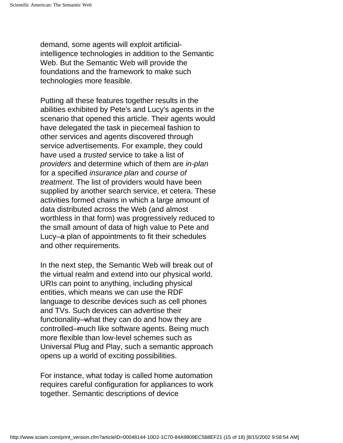demand, some agents will exploit artificialintelligence technologies in addition to the Semantic Web. But the Semantic Web will provide the foundations and the framework to make such technologies more feasible.

Putting all these features together results in the abilities exhibited by Pete's and Lucy's agents in the scenario that opened this article. Their agents would have delegated the task in piecemeal fashion to other services and agents discovered through service advertisements. For example, they could have used a *trusted* service to take a list of *providers* and determine which of them are *in-plan* for a specified *insurance plan* and *course of treatment*. The list of providers would have been supplied by another search service, et cetera. These activities formed chains in which a large amount of data distributed across the Web (and almost worthless in that form) was progressively reduced to the small amount of data of high value to Pete and Lucy—a plan of appointments to fit their schedules and other requirements.

In the next step, the Semantic Web will break out of the virtual realm and extend into our physical world. URIs can point to anything, including physical entities, which means we can use the RDF language to describe devices such as cell phones and TVs. Such devices can advertise their functionality—what they can do and how they are controlled—much like software agents. Being much more flexible than low-level schemes such as Universal Plug and Play, such a semantic approach opens up a world of exciting possibilities.

For instance, what today is called home automation requires careful configuration for appliances to work together. Semantic descriptions of device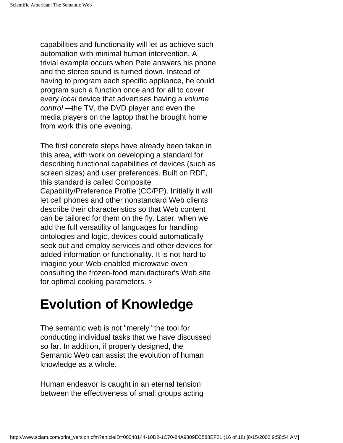capabilities and functionality will let us achieve such automation with minimal human intervention. A trivial example occurs when Pete answers his phone and the stereo sound is turned down. Instead of having to program each specific appliance, he could program such a function once and for all to cover every *local* device that advertises having a *volume control* — the TV, the DVD player and even the media players on the laptop that he brought home from work this one evening.

The first concrete steps have already been taken in this area, with work on developing a standard for describing functional capabilities of devices (such as screen sizes) and user preferences. Built on RDF, this standard is called Composite Capability/Preference Profile (CC/PP). Initially it will let cell phones and other nonstandard Web clients describe their characteristics so that Web content can be tailored for them on the fly. Later, when we add the full versatility of languages for handling ontologies and logic, devices could automatically seek out and employ services and other devices for added information or functionality. It is not hard to imagine your Web-enabled microwave oven consulting the frozen-food manufacturer's Web site for optimal cooking parameters. >

# **Evolution of Knowledge**

The semantic web is not "merely" the tool for conducting individual tasks that we have discussed so far. In addition, if properly designed, the Semantic Web can assist the evolution of human knowledge as a whole.

Human endeavor is caught in an eternal tension between the effectiveness of small groups acting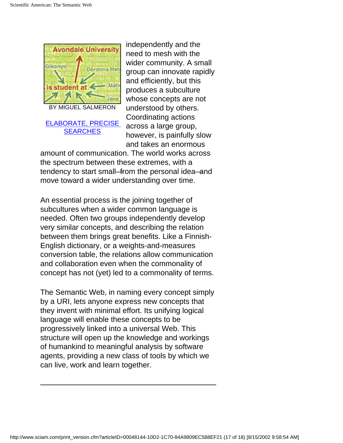

[ELABORATE, PRECISE](http://www.sciam.com/article.cfm?articleid=0005DE0B-2C93-1CBF-B4A8809EC588EEDF)  **[SEARCHES](http://www.sciam.com/article.cfm?articleid=0005DE0B-2C93-1CBF-B4A8809EC588EEDF)** 

independently and the need to mesh with the wider community. A small group can innovate rapidly and efficiently, but this produces a subculture whose concepts are not understood by others. Coordinating actions across a large group, however, is painfully slow and takes an enormous

amount of communication. The world works across the spectrum between these extremes, with a tendency to start small—from the personal idea—and move toward a wider understanding over time.

An essential process is the joining together of subcultures when a wider common language is needed. Often two groups independently develop very similar concepts, and describing the relation between them brings great benefits. Like a Finnish-English dictionary, or a weights-and-measures conversion table, the relations allow communication and collaboration even when the commonality of concept has not (yet) led to a commonality of terms.

The Semantic Web, in naming every concept simply by a URI, lets anyone express new concepts that they invent with minimal effort. Its unifying logical language will enable these concepts to be progressively linked into a universal Web. This structure will open up the knowledge and workings of humankind to meaningful analysis by software agents, providing a new class of tools by which we can live, work and learn together.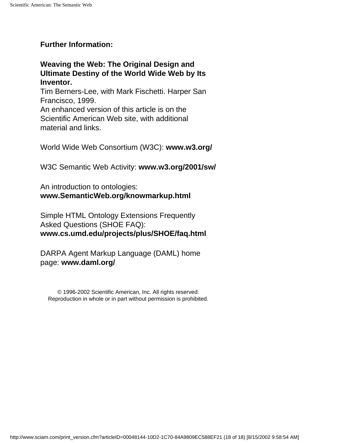#### **Further Information:**

#### **Weaving the Web: The Original Design and Ultimate Destiny of the World Wide Web by Its Inventor.**

Tim Berners-Lee, with Mark Fischetti. Harper San Francisco, 1999. An enhanced version of this article is on the Scientific American Web site, with additional material and links.

World Wide Web Consortium (W3C): **www.w3.org/**

W3C Semantic Web Activity: **www.w3.org/2001/sw/**

An introduction to ontologies: **www.SemanticWeb.org/knowmarkup.html**

Simple HTML Ontology Extensions Frequently Asked Questions (SHOE FAQ): **www.cs.umd.edu/projects/plus/SHOE/faq.html**

DARPA Agent Markup Language (DAML) home page: **www.daml.org/**

© 1996-2002 Scientific American, Inc. All rights reserved. Reproduction in whole or in part without permission is prohibited.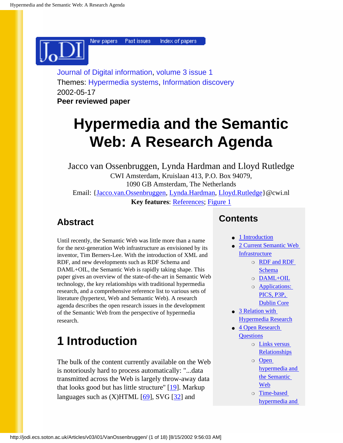

Past issues Index of papers New papers

[Journal of Digital information,](http://jodi.ecs.soton.ac.uk/) [volume 3 issue 1](http://jodi.ecs.soton.ac.uk/?vol=3&iss=1) Themes: [Hypermedia systems](http://jodi.ecs.soton.ac.uk/?theme=b), [Information discovery](http://jodi.ecs.soton.ac.uk/?theme=d) 2002-05-17 **Peer reviewed paper**

# **Hypermedia and the Semantic Web: A Research Agenda**

Jacco van Ossenbruggen, Lynda Hardman and Lloyd Rutledge CWI Amsterdam, Kruislaan 413, P.O. Box 94079, 1090 GB Amsterdam, The Netherlands Email: [{Jacco.van.Ossenbruggen](mailto:Jacco.van.Ossenbruggen@cwi.nl), [Lynda.Hardman](mailto:Lynda.Hardman@cwi.nl), [Lloyd.Rutledge}](mailto:Lloyd.Rutledge@cwi.nl)@cwi.nl **Key features**: [References](#page-28-0); [Figure 1](#page-19-0)

#### **Abstract**

Until recently, the Semantic Web was little more than a name for the next-generation Web infrastructure as envisioned by its inventor, Tim Berners-Lee. With the introduction of XML and RDF, and new developments such as RDF Schema and DAML+OIL, the Semantic Web is rapidly taking shape. This paper gives an overview of the state-of-the-art in Semantic Web technology, the key relationships with traditional hypermedia research, and a comprehensive reference list to various sets of literature (hypertext, Web and Semantic Web). A research agenda describes the open research issues in the development of the Semantic Web from the perspective of hypermedia research.

## <span id="page-18-0"></span>**1 Introduction**

The bulk of the content currently available on the Web is notoriously hard to process automatically: "...data transmitted across the Web is largely throw-away data that looks good but has little structure'' [[19](#page-29-0)]. Markup languages such as  $(X)$ HTML  $[69]$  $[69]$  $[69]$ , SVG  $[32]$  and

#### **Contents**

- [1 Introduction](#page-18-0)
- [2 Current Semantic Web](#page-19-1) **[Infrastructure](#page-19-1)** 
	- ❍ [RDF and RDF](#page-20-0) [Schema](#page-20-0)
		- ❍ [DAML+OIL](#page-20-1)
		- ❍ [Applications:](#page-21-0) [PICS, P3P,](#page-21-0) [Dublin Core](#page-21-0)
- 3 Relation with [Hypermedia Research](#page-21-1)
- [4 Open Research](#page-24-0) **[Questions](#page-24-0)** 
	- ❍ [Links versus](#page-24-1) [Relationships](#page-24-1)
	- ❍ [Open](#page-25-0)  [hypermedia and](#page-25-0) [the Semantic](#page-25-0) [Web](#page-25-0)
	- ❍ [Time-based](#page-26-0) [hypermedia and](#page-26-0)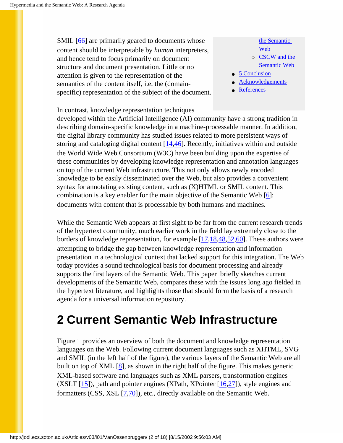SMIL [\[66\]](#page-34-1) are primarily geared to documents whose content should be interpretable by *human* interpreters, and hence tend to focus primarily on document structure and document presentation. Little or no attention is given to the representation of the semantics of the content itself, i.e. the (domainspecific) representation of the subject of the document.

[the Semantic](#page-26-0) [Web](#page-26-0) ❍ [CSCW and the](#page-27-0)  [Semantic Web](#page-27-0) ● [5 Conclusion](#page-27-1) ● [Acknowledgements](#page-27-2)

● [References](#page-28-0)

In contrast, knowledge representation techniques

developed within the Artificial Intelligence (AI) community have a strong tradition in describing domain-specific knowledge in a machine-processable manner. In addition, the digital library community has studied issues related to more persistent ways of storing and cataloging digital content  $[14,46]$  $[14,46]$  $[14,46]$ . Recently, initiatives within and outside the World Wide Web Consortium (W3C) have been building upon the expertise of these communities by developing knowledge representation and annotation languages on top of the current Web infrastructure. This not only allows newly encoded knowledge to be easily disseminated over the Web, but also provides a convenient syntax for annotating existing content, such as (X)HTML or SMIL content. This combination is a key enabler for the main objective of the Semantic Web [\[6](#page-28-1)]: documents with content that is processable by both humans and machines.

While the Semantic Web appears at first sight to be far from the current research trends of the hypertext community, much earlier work in the field lay extremely close to the borders of knowledge representation, for example  $[17, 18, 48, 52, 60]$  $[17, 18, 48, 52, 60]$  $[17, 18, 48, 52, 60]$  $[17, 18, 48, 52, 60]$  $[17, 18, 48, 52, 60]$  $[17, 18, 48, 52, 60]$  $[17, 18, 48, 52, 60]$ . These authors were attempting to bridge the gap between knowledge representation and information presentation in a technological context that lacked support for this integration. The Web today provides a sound technological basis for document processing and already supports the first layers of the Semantic Web. This paper briefly sketches current developments of the Semantic Web, compares these with the issues long ago fielded in the hypertext literature, and highlights those that should form the basis of a research agenda for a universal information repository.

## <span id="page-19-1"></span>**2 Current Semantic Web Infrastructure**

<span id="page-19-0"></span>Figure 1 provides an overview of both the document and knowledge representation languages on the Web. Following current document languages such as XHTML, SVG and SMIL (in the left half of the figure), the various layers of the Semantic Web are all built on top of XML [\[8\]](#page-28-2), as shown in the right half of the figure. This makes generic XML-based software and languages such as XML parsers, transformation engines  $(XSLT [15])$  $(XSLT [15])$  $(XSLT [15])$ , path and pointer engines (XPath, XPointer  $[16,27]$  $[16,27]$  $[16,27]$  $[16,27]$  $[16,27]$ ), style engines and formatters (CSS, XSL [\[7](#page-28-3),[70](#page-34-2)]), etc., directly available on the Semantic Web.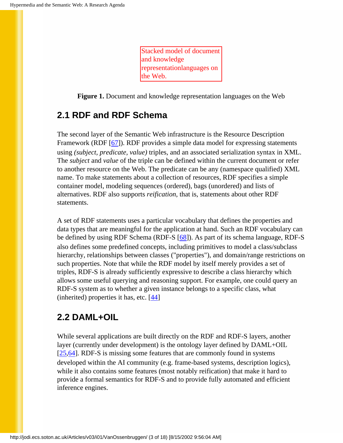Stacked model of document and knowledge representationlanguages on the Web.

**Figure 1.** Document and knowledge representation languages on the Web

#### <span id="page-20-0"></span>**2.1 RDF and RDF Schema**

The second layer of the Semantic Web infrastructure is the Resource Description Framework (RDF [[67](#page-34-3)]). RDF provides a simple data model for expressing statements using *(subject, predicate, value)* triples, and an associated serialization syntax in XML. The *subject* and *value* of the triple can be defined within the current document or refer to another resource on the Web. The predicate can be any (namespace qualified) XML name. To make statements about a collection of resources, RDF specifies a simple container model, modeling sequences (ordered), bags (unordered) and lists of alternatives. RDF also supports *reification*, that is, statements about other RDF statements.

A set of RDF statements uses a particular vocabulary that defines the properties and data types that are meaningful for the application at hand. Such an RDF vocabulary can be defined by using RDF Schema (RDF-S [[68](#page-34-4)]). As part of its schema language, RDF-S also defines some predefined concepts, including primitives to model a class/subclass hierarchy, relationships between classes ("properties"), and domain/range restrictions on such properties. Note that while the RDF model by itself merely provides a set of triples, RDF-S is already sufficiently expressive to describe a class hierarchy which allows some useful querying and reasoning support. For example, one could query an RDF-S system as to whether a given instance belongs to a specific class, what (inherited) properties it has, etc. [\[44\]](#page-32-2)

#### <span id="page-20-1"></span>**2.2 DAML+OIL**

While several applications are built directly on the RDF and RDF-S layers, another layer (currently under development) is the ontology layer defined by DAML+OIL [\[25,](#page-30-1)[64](#page-34-5)]. RDF-S is missing some features that are commonly found in systems developed within the AI community (e.g. frame-based systems, description logics), while it also contains some features (most notably reification) that make it hard to provide a formal semantics for RDF-S and to provide fully automated and efficient inference engines.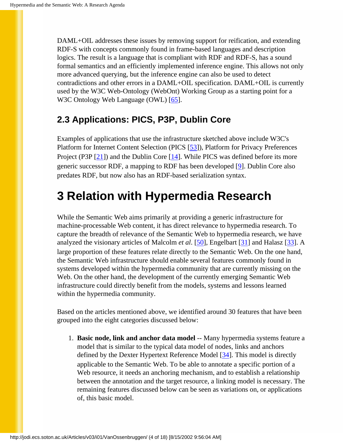DAML+OIL addresses these issues by removing support for reification, and extending RDF-S with concepts commonly found in frame-based languages and description logics. The result is a language that is compliant with RDF and RDF-S, has a sound formal semantics and an efficiently implemented inference engine. This allows not only more advanced querying, but the inference engine can also be used to detect contradictions and other errors in a DAML+OIL specification. DAML+OIL is currently used by the W3C Web-Ontology (WebOnt) Working Group as a starting point for a W3C Ontology Web Language (OWL) [\[65\]](#page-34-6).

#### <span id="page-21-0"></span>**2.3 Applications: PICS, P3P, Dublin Core**

Examples of applications that use the infrastructure sketched above include W3C's Platform for Internet Content Selection (PICS [\[53\]](#page-33-2)), Platform for Privacy Preferences Project (P3P  $[21]$ ) and the Dublin Core  $[14]$ . While PICS was defined before its more generic successor RDF, a mapping to RDF has been developed [[9](#page-28-4)]. Dublin Core also predates RDF, but now also has an RDF-based serialization syntax.

## <span id="page-21-1"></span>**3 Relation with Hypermedia Research**

While the Semantic Web aims primarily at providing a generic infrastructure for machine-processable Web content, it has direct relevance to hypermedia research. To capture the breadth of relevance of the Semantic Web to hypermedia research, we have analyzed the visionary articles of Malcolm *et al*. [\[50\]](#page-32-3), Engelbart [\[31\]](#page-30-2) and Halasz [[33](#page-31-1)]. A large proportion of these features relate directly to the Semantic Web. On the one hand, the Semantic Web infrastructure should enable several features commonly found in systems developed within the hypermedia community that are currently missing on the Web. On the other hand, the development of the currently emerging Semantic Web infrastructure could directly benefit from the models, systems and lessons learned within the hypermedia community.

Based on the articles mentioned above, we identified around 30 features that have been grouped into the eight categories discussed below:

1. **Basic node, link and anchor data model** -- Many hypermedia systems feature a model that is similar to the typical data model of nodes, links and anchors defined by the Dexter Hypertext Reference Model [[34](#page-31-2)]. This model is directly applicable to the Semantic Web. To be able to annotate a specific portion of a Web resource, it needs an anchoring mechanism, and to establish a relationship between the annotation and the target resource, a linking model is necessary. The remaining features discussed below can be seen as variations on, or applications of, this basic model.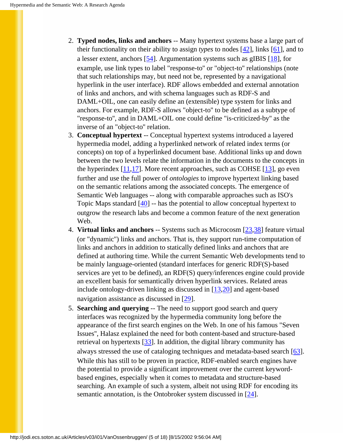- 2. **Typed nodes, links and anchors** -- Many hypertext systems base a large part of their functionality on their ability to assign *types* to nodes [\[42\]](#page-32-4), links [[61](#page-33-3)], and to a lesser extent, anchors [\[54\]](#page-33-4). Argumentation systems such as gIBIS [[18](#page-29-3)], for example, use link types to label "response-to'' or "object-to'' relationships (note that such relationships may, but need not be, represented by a navigational hyperlink in the user interface). RDF allows embedded and external annotation of links and anchors, and with schema languages such as RDF-S and DAML+OIL, one can easily define an (extensible) type system for links and anchors. For example, RDF-S allows "object-to'' to be defined as a subtype of "response-to'', and in DAML+OIL one could define "is-criticized-by'' as the inverse of an "object-to'' relation.
- 3. **Conceptual hypertext** -- Conceptual hypertext systems introduced a layered hypermedia model, adding a hyperlinked network of related index terms (or concepts) on top of a hyperlinked document base. Additional links up and down between the two levels relate the information in the documents to the concepts in the hyperindex  $[11,17]$  $[11,17]$  $[11,17]$ . More recent approaches, such as COHSE  $[13]$  $[13]$  $[13]$ , go even further and use the full power of *ontologies* to improve hypertext linking based on the semantic relations among the associated concepts. The emergence of Semantic Web languages -- along with comparable approaches such as ISO's Topic Maps standard [[40](#page-31-3)] -- has the potential to allow conceptual hypertext to outgrow the research labs and become a common feature of the next generation Web.
- 4. **Virtual links and anchors** -- Systems such as Microcosm [[23](#page-30-3)[,38](#page-31-4)] feature virtual (or "dynamic'') links and anchors. That is, they support run-time computation of links and anchors in addition to statically defined links and anchors that are defined at authoring time. While the current Semantic Web developments tend to be mainly language-oriented (standard interfaces for generic RDF(S)-based services are yet to be defined), an RDF(S) query/inferences engine could provide an excellent basis for semantically driven hyperlink services. Related areas include ontology-driven linking as discussed in [[13](#page-29-7)[,20\]](#page-29-8) and agent-based navigation assistance as discussed in [[29](#page-30-4)].
- 5. **Searching and querying** -- The need to support good search and query interfaces was recognized by the hypermedia community long before the appearance of the first search engines on the Web. In one of his famous "Seven Issues'', Halasz explained the need for both content-based and structure-based retrieval on hypertexts [[33](#page-31-1)]. In addition, the digital library community has always stressed the use of cataloging techniques and metadata-based search [[63](#page-34-7)]. While this has still to be proven in practice, RDF-enabled search engines have the potential to provide a significant improvement over the current keywordbased engines, especially when it comes to metadata and structure-based searching. An example of such a system, albeit not using RDF for encoding its semantic annotation, is the Ontobroker system discussed in [\[24\]](#page-30-5).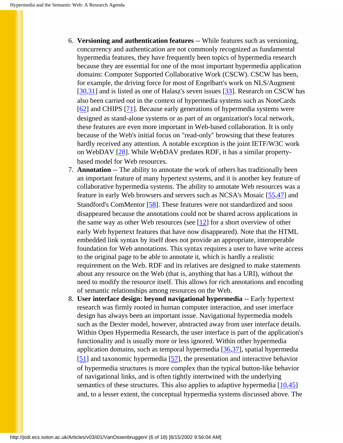- 6. **Versioning and authentication features** -- While features such as versioning, concurrency and authentication are not commonly recognized as fundamental hypermedia features, they have frequently been topics of hypermedia research because they are essential for one of the most important hypermedia application domains: Computer Supported Collaborative Work (CSCW). CSCW has been, for example, the driving force for most of Engelbart's work on NLS/Augment [[30](#page-30-6),[31](#page-30-2)] and is listed as one of Halasz's seven issues [[33](#page-31-1)]. Research on CSCW has also been carried out in the context of hypermedia systems such as NoteCards [[62](#page-34-8)] and CHIPS [[71](#page-34-9)]. Because early generations of hypermedia systems were designed as stand-alone systems or as part of an organization's local network, these features are even more important in Web-based collaboration. It is only because of the Web's initial focus on "read-only'' browsing that these features hardly received any attention. A notable exception is the joint IETF/W3C work on WebDAV [\[28\]](#page-30-7). While WebDAV predates RDF, it has a similar propertybased model for Web resources.
- 7. **Annotation** -- The ability to annotate the work of others has traditionally been an important feature of many hypertext systems, and it is another key feature of collaborative hypermedia systems. The ability to annotate Web resources was a feature in early Web browsers and servers such as NCSA's Mosaic [[55](#page-33-5),[47](#page-32-5)] and Standford's ComMentor [[58](#page-33-6)]. These features were not standardized and soon disappeared because the annotations could not be shared across applications in the same way as other Web resources (see [\[12\]](#page-29-9) for a short overview of other early Web hypertext features that have now disappeared). Note that the HTML embedded link syntax by itself does not provide an appropriate, interoperable foundation for Web annotations. This syntax requires a user to have write access to the original page to be able to annotate it, which is hardly a realistic requirement on the Web. RDF and its relatives are designed to make statements about any resource on the Web (that is, anything that has a URI), without the need to modify the resource itself. This allows for rich annotations and encoding of semantic relationships among resources on the Web.
- 8. **User interface design: beyond navigational hypermedia** -- Early hypertext research was firmly rooted in human computer interaction, and user interface design has always been an important issue. Navigational hypermedia models such as the Dexter model, however, abstracted away from user interface details. Within Open Hypermedia Research, the user interface is part of the application's functionality and is usually more or less ignored. Within other hypermedia application domains, such as temporal hypermedia [[36](#page-31-5)[,37](#page-31-6)], spatial hypermedia [[51](#page-32-6)] and taxonomic hypermedia [\[57\]](#page-33-7), the presentation and interactive behavior of hypermedia structures is more complex than the typical button-like behavior of navigational links, and is often tightly intertwined with the underlying semantics of these structures. This also applies to adaptive hypermedia [[10](#page-28-6)[,45\]](#page-32-7) and, to a lesser extent, the conceptual hypermedia systems discussed above. The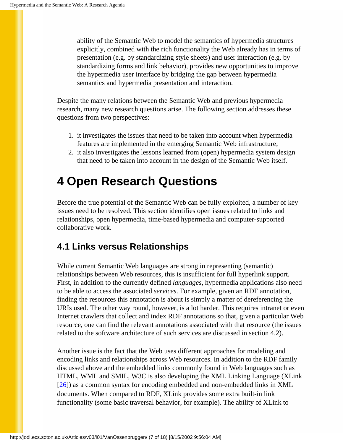ability of the Semantic Web to model the semantics of hypermedia structures explicitly, combined with the rich functionality the Web already has in terms of presentation (e.g. by standardizing style sheets) and user interaction (e.g. by standardizing forms and link behavior), provides new opportunities to improve the hypermedia user interface by bridging the gap between hypermedia semantics and hypermedia presentation and interaction.

Despite the many relations between the Semantic Web and previous hypermedia research, many new research questions arise. The following section addresses these questions from two perspectives:

- 1. it investigates the issues that need to be taken into account when hypermedia features are implemented in the emerging Semantic Web infrastructure;
- 2. it also investigates the lessons learned from (open) hypermedia system design that need to be taken into account in the design of the Semantic Web itself.

## <span id="page-24-0"></span>**4 Open Research Questions**

Before the true potential of the Semantic Web can be fully exploited, a number of key issues need to be resolved. This section identifies open issues related to links and relationships, open hypermedia, time-based hypermedia and computer-supported collaborative work.

#### <span id="page-24-1"></span>**4.1 Links versus Relationships**

While current Semantic Web languages are strong in representing (semantic) relationships between Web resources, this is insufficient for full hyperlink support. First, in addition to the currently defined *languages*, hypermedia applications also need to be able to access the associated *services*. For example, given an RDF annotation, finding the resources this annotation is about is simply a matter of dereferencing the URIs used. The other way round, however, is a lot harder. This requires intranet or even Internet crawlers that collect and index RDF annotations so that, given a particular Web resource, one can find the relevant annotations associated with that resource (the issues related to the software architecture of such services are discussed in section 4.2).

Another issue is the fact that the Web uses different approaches for modeling and encoding links and relationships across Web resources. In addition to the RDF family discussed above and the embedded links commonly found in Web languages such as HTML, WML and SMIL, W3C is also developing the XML Linking Language (XLink [\[26\]](#page-30-8)) as a common syntax for encoding embedded and non-embedded links in XML documents. When compared to RDF, XLink provides some extra built-in link functionality (some basic traversal behavior, for example). The ability of XLink to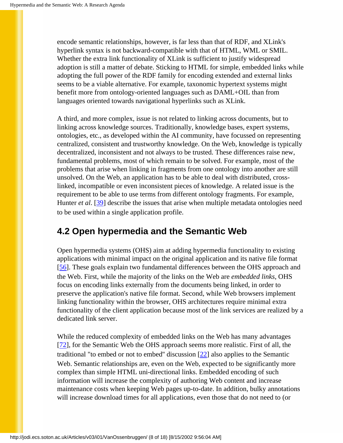encode semantic relationships, however, is far less than that of RDF, and XLink's hyperlink syntax is not backward-compatible with that of HTML, WML or SMIL. Whether the extra link functionality of XLink is sufficient to justify widespread adoption is still a matter of debate. Sticking to HTML for simple, embedded links while adopting the full power of the RDF family for encoding extended and external links seems to be a viable alternative. For example, taxonomic hypertext systems might benefit more from ontology-oriented languages such as DAML+OIL than from languages oriented towards navigational hyperlinks such as XLink.

A third, and more complex, issue is not related to linking across documents, but to linking across knowledge sources. Traditionally, knowledge bases, expert systems, ontologies, etc., as developed within the AI community, have focussed on representing centralized, consistent and trustworthy knowledge. On the Web, knowledge is typically decentralized, inconsistent and not always to be trusted. These differences raise new, fundamental problems, most of which remain to be solved. For example, most of the problems that arise when linking in fragments from one ontology into another are still unsolved. On the Web, an application has to be able to deal with distributed, crosslinked, incompatible or even inconsistent pieces of knowledge. A related issue is the requirement to be able to use terms from different ontology fragments. For example, Hunter *et al.* [\[39\]](#page-31-7) describe the issues that arise when multiple metadata ontologies need to be used within a single application profile.

#### <span id="page-25-0"></span>**4.2 Open hypermedia and the Semantic Web**

Open hypermedia systems (OHS) aim at adding hypermedia functionality to existing applications with minimal impact on the original application and its native file format [\[56\]](#page-33-8). These goals explain two fundamental differences between the OHS approach and the Web. First, while the majority of the links on the Web are *embedded links*, OHS focus on encoding links externally from the documents being linked, in order to preserve the application's native file format. Second, while Web browsers implement linking functionality within the browser, OHS architectures require minimal extra functionality of the client application because most of the link services are realized by a dedicated link server.

While the reduced complexity of embedded links on the Web has many advantages [\[72\]](#page-34-10), for the Semantic Web the OHS approach seems more realistic. First of all, the traditional "to embed or not to embed'' discussion [\[22\]](#page-30-9) also applies to the Semantic Web. Semantic relationships are, even on the Web, expected to be significantly more complex than simple HTML uni-directional links. Embedded encoding of such information will increase the complexity of authoring Web content and increase maintenance costs when keeping Web pages up-to-date. In addition, bulky annotations will increase download times for all applications, even those that do not need to (or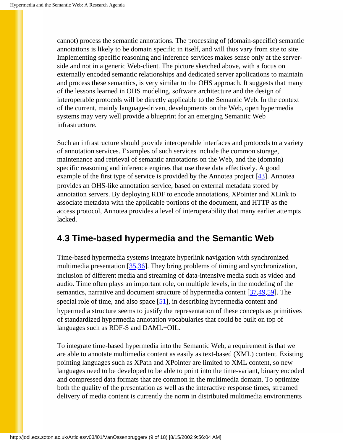cannot) process the semantic annotations. The processing of (domain-specific) semantic annotations is likely to be domain specific in itself, and will thus vary from site to site. Implementing specific reasoning and inference services makes sense only at the serverside and not in a generic Web-client. The picture sketched above, with a focus on externally encoded semantic relationships and dedicated server applications to maintain and process these semantics, is very similar to the OHS approach. It suggests that many of the lessons learned in OHS modeling, software architecture and the design of interoperable protocols will be directly applicable to the Semantic Web. In the context of the current, mainly language-driven, developments on the Web, open hypermedia systems may very well provide a blueprint for an emerging Semantic Web infrastructure.

Such an infrastructure should provide interoperable interfaces and protocols to a variety of annotation services. Examples of such services include the common storage, maintenance and retrieval of semantic annotations on the Web, and the (domain) specific reasoning and inference engines that use these data effectively. A good example of the first type of service is provided by the Annotea project [\[43\]](#page-32-8). Annotea provides an OHS-like annotation service, based on external metadata stored by annotation servers. By deploying RDF to encode annotations, XPointer and XLink to associate metadata with the applicable portions of the document, and HTTP as the access protocol, Annotea provides a level of interoperability that many earlier attempts lacked.

#### <span id="page-26-0"></span>**4.3 Time-based hypermedia and the Semantic Web**

Time-based hypermedia systems integrate hyperlink navigation with synchronized multimedia presentation [[35](#page-31-8)[,36\]](#page-31-5). They bring problems of timing and synchronization, inclusion of different media and streaming of data-intensive media such as video and audio. Time often plays an important role, on multiple levels, in the modeling of the semantics, narrative and document structure of hypermedia content [[37](#page-31-6)[,49](#page-32-9)[,59\]](#page-33-9). The special role of time, and also space [\[51\]](#page-32-6), in describing hypermedia content and hypermedia structure seems to justify the representation of these concepts as primitives of standardized hypermedia annotation vocabularies that could be built on top of languages such as RDF-S and DAML+OIL.

To integrate time-based hypermedia into the Semantic Web, a requirement is that we are able to annotate multimedia content as easily as text-based (XML) content. Existing pointing languages such as XPath and XPointer are limited to XML content, so new languages need to be developed to be able to point into the time-variant, binary encoded and compressed data formats that are common in the multimedia domain. To optimize both the quality of the presentation as well as the interactive response times, streamed delivery of media content is currently the norm in distributed multimedia environments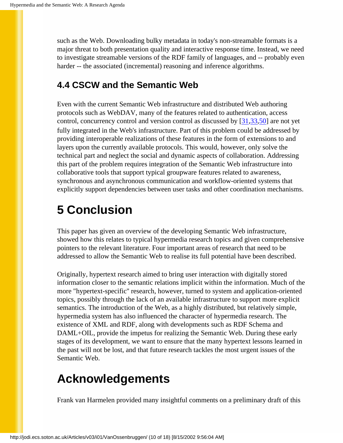such as the Web. Downloading bulky metadata in today's non-streamable formats is a major threat to both presentation quality and interactive response time. Instead, we need to investigate streamable versions of the RDF family of languages, and -- probably even harder -- the associated (incremental) reasoning and inference algorithms.

#### <span id="page-27-0"></span>**4.4 CSCW and the Semantic Web**

Even with the current Semantic Web infrastructure and distributed Web authoring protocols such as WebDAV, many of the features related to authentication, access control, concurrency control and version control as discussed by [[31](#page-30-2)[,33,](#page-31-1)[50](#page-32-3)] are not yet fully integrated in the Web's infrastructure. Part of this problem could be addressed by providing interoperable realizations of these features in the form of extensions to and layers upon the currently available protocols. This would, however, only solve the technical part and neglect the social and dynamic aspects of collaboration. Addressing this part of the problem requires integration of the Semantic Web infrastructure into collaborative tools that support typical groupware features related to awareness, synchronous and asynchronous communication and workflow-oriented systems that explicitly support dependencies between user tasks and other coordination mechanisms.

# <span id="page-27-1"></span>**5 Conclusion**

This paper has given an overview of the developing Semantic Web infrastructure, showed how this relates to typical hypermedia research topics and given comprehensive pointers to the relevant literature. Four important areas of research that need to be addressed to allow the Semantic Web to realise its full potential have been described.

Originally, hypertext research aimed to bring user interaction with digitally stored information closer to the semantic relations implicit within the information. Much of the more "hypertext-specific'' research, however, turned to system and application-oriented topics, possibly through the lack of an available infrastructure to support more explicit semantics. The introduction of the Web, as a highly distributed, but relatively simple, hypermedia system has also influenced the character of hypermedia research. The existence of XML and RDF, along with developments such as RDF Schema and DAML+OIL, provide the impetus for realizing the Semantic Web. During these early stages of its development, we want to ensure that the many hypertext lessons learned in the past will not be lost, and that future research tackles the most urgent issues of the Semantic Web.

## <span id="page-27-2"></span>**Acknowledgements**

Frank van Harmelen provided many insightful comments on a preliminary draft of this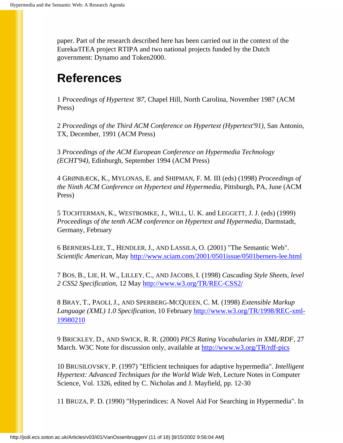paper. Part of the research described here has been carried out in the context of the Eureka/ITEA project RTIPA and two national projects funded by the Dutch government: Dynamo and Token2000.

## <span id="page-28-0"></span>**References**

1 *Proceedings of Hypertext '87,* Chapel Hill, North Carolina, November 1987 (ACM Press)

2 *Proceedings of the Third ACM Conference on Hypertext (Hypertext'91),* San Antonio, TX, December, 1991 (ACM Press)

3 *Proceedings of the ACM European Conference on Hypermedia Technology (ECHT'94)*, Edinburgh, September 1994 (ACM Press)

4 GRØNBÆCK, K., MYLONAS, E. and SHIPMAN, F. M. III (eds) (1998) *Proceedings of the Ninth ACM Conference on Hypertext and Hypermedia,* Pittsburgh, PA, June (ACM Press)

5 TOCHTERMAN, K., WESTBOMKE, J., WILL, U. K. and LEGGETT, J. J. (eds) (1999) *Proceedings of the tenth ACM conference on Hypertext and Hypermedia, Darmstadt,* Germany, February

<span id="page-28-1"></span>6 BERNERS-LEE, T., HENDLER, J., AND LASSILA, O. (2001) "The Semantic Web". *Scientific American,* May <http://www.sciam.com/2001/0501issue/0501berners-lee.html>

<span id="page-28-3"></span>7 BOS, B., LIE, H. W., LILLEY, C., AND JACOBS, I. (1998) *Cascading Style Sheets, level 2 CSS2 Specification,* 12 May <http://www.w3.org/TR/REC-CSS2/>

<span id="page-28-2"></span>8 BRAY, T., PAOLI, J., AND SPERBERG-MCQUEEN, C. M. (1998) *Extensible Markup Language (XML) 1.0 Specification*, 10 February [http://www.w3.org/TR/1998/REC-xml-](http://www.w3.org/TR/1998/REC-xml-19980210)[19980210](http://www.w3.org/TR/1998/REC-xml-19980210)

<span id="page-28-4"></span>9 BRICKLEY, D., AND SWICK, R. R. (2000) *PICS Rating Vocabularies in XML/RDF*, 27 March. W3C Note for discussion only, available at <http://www.w3.org/TR/rdf-pics>

<span id="page-28-6"></span>10 BRUSILOVSKY, P. (1997) "Efficient techniques for adaptive hypermedia". *Intelligent Hypertext: Advanced Techniques for the World Wide Web,* Lecture Notes in Computer Science, Vol. 1326, edited by C. Nicholas and J. Mayfield, pp. 12-30

<span id="page-28-5"></span>11 BRUZA, P. D. (1990) "Hyperindices: A Novel Aid For Searching in Hypermedia". In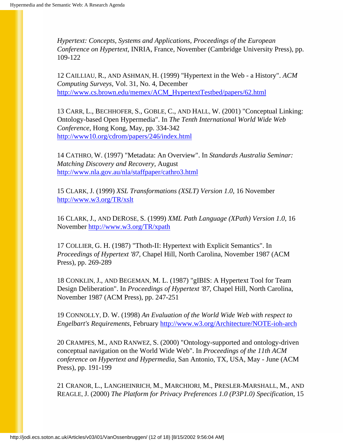*Hypertext: Concepts, Systems and Applications, Proceedings of the European Conference on Hypertext,* INRIA, France, November (Cambridge University Press), pp. 109-122

<span id="page-29-9"></span>12 CAILLIAU, R., AND ASHMAN, H. (1999) "Hypertext in the Web - a History". *ACM Computing Surveys,* Vol. 31, No. 4, December [http://www.cs.brown.edu/memex/ACM\\_HypertextTestbed/papers/62.html](http://www.cs.brown.edu/memex/ACM_HypertextTestbed/papers/62.html)

<span id="page-29-7"></span>13 CARR, L., BECHHOFER, S., GOBLE, C., AND HALL, W. (2001) "Conceptual Linking: Ontology-based Open Hypermedia". In *The Tenth International World Wide Web Conference*, Hong Kong, May, pp. 334-342 <http://www10.org/cdrom/papers/246/index.html>

<span id="page-29-1"></span>14 CATHRO, W. (1997) "Metadata: An Overview". In *Standards Australia Seminar: Matching Discovery and Recovery,* August <http://www.nla.gov.au/nla/staffpaper/cathro3.html>

<span id="page-29-5"></span><span id="page-29-4"></span>15 CLARK, J. (1999) *XSL Transformations (XSLT) Version 1.0*, 16 November <http://www.w3.org/TR/xslt>

16 CLARK, J., AND DEROSE, S. (1999) *XML Path Language (XPath) Version 1.0*, 16 November <http://www.w3.org/TR/xpath>

<span id="page-29-2"></span>17 COLLIER, G. H. (1987) "Thoth-II: Hypertext with Explicit Semantics". In *Proceedings of Hypertext '87,* Chapel Hill, North Carolina, November 1987 (ACM Press), pp. 269-289

<span id="page-29-3"></span>18 CONKLIN, J., AND BEGEMAN, M. L. (1987) "gIBIS: A Hypertext Tool for Team Design Deliberation". In *Proceedings of Hypertext '87,* Chapel Hill, North Carolina, November 1987 (ACM Press), pp. 247-251

<span id="page-29-0"></span>19 CONNOLLY, D. W. (1998) *An Evaluation of the World Wide Web with respect to Engelbart's Requirements*, February<http://www.w3.org/Architecture/NOTE-ioh-arch>

<span id="page-29-8"></span>20 CRAMPES, M., AND RANWEZ, S. (2000) "Ontology-supported and ontology-driven conceptual navigation on the World Wide Web". In *Proceedings of the 11th ACM conference on Hypertext and Hypermedia,* San Antonio, TX, USA, May - June (ACM Press), pp. 191-199

<span id="page-29-6"></span>21 CRANOR, L., LANGHEINRICH, M., MARCHIORI, M., PRESLER-MARSHALL, M., AND REAGLE, J. (2000) *The Platform for Privacy Preferences 1.0 (P3P1.0) Specification*, 15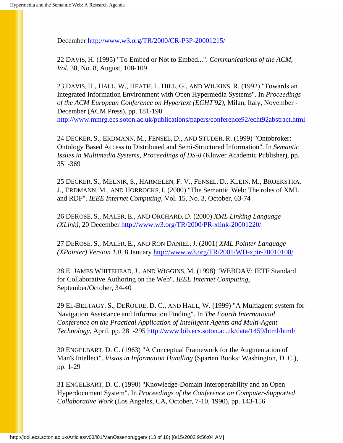<span id="page-30-9"></span>December <http://www.w3.org/TR/2000/CR-P3P-20001215/>

22 DAVIS, H. (1995) "To Embed or Not to Embed...". *Communications of the ACM, Vol.* 38, No. 8, August, 108-109

<span id="page-30-3"></span>23 DAVIS, H., HALL, W., HEATH, I., HILL, G., AND WILKINS, R. (1992) "Towards an Integrated Information Environment with Open Hypermedia Systems". In *Proceedings of the ACM European Conference on Hypertext (ECHT'92),* Milan, Italy, November - December (ACM Press), pp. 181-190 <http://www.mmrg.ecs.soton.ac.uk/publications/papers/conference92/echt92abstract.html>

<span id="page-30-5"></span>24 DECKER, S., ERDMANN, M., FENSEL, D., AND STUDER, R. (1999) "Ontobroker: Ontology Based Access to Distributed and Semi-Structured Information". In *Semantic Issues in Multimedia Systems, Proceedings of DS-8* (Kluwer Academic Publisher), pp. 351-369

<span id="page-30-1"></span>25 DECKER, S., MELNIK, S., HARMELEN, F. V., FENSEL, D., KLEIN, M., BROEKSTRA, J., ERDMANN, M., AND HORROCKS, I. (2000) "The Semantic Web: The roles of XML and RDF". *IEEE Internet Computing*, Vol. 15, No. 3, October, 63-74

<span id="page-30-8"></span><span id="page-30-0"></span>26 DEROSE, S., MALER, E., AND ORCHARD, D. (2000) *XML Linking Language (XLink)*, 20 December <http://www.w3.org/TR/2000/PR-xlink-20001220/>

27 DEROSE, S., MALER, E., AND RON DANIEL, J. (2001) *XML Pointer Language (XPointer) Version 1.0*, 8 January<http://www.w3.org/TR/2001/WD-xptr-20010108/>

<span id="page-30-7"></span>28 E. JAMES WHITEHEAD, J., AND WIGGINS, M. (1998) "WEBDAV: IETF Standard for Collaborative Authoring on the Web". *IEEE Internet Computing,*  September/October, 34-40

<span id="page-30-4"></span>29 EL-BELTAGY, S., DEROURE, D. C., AND HALL, W. (1999) "A Multiagent system for Navigation Assistance and Information Finding". In *The Fourth International Conference on the Practical Application of Intelligent Agents and Multi-Agent Technology,* April, pp. 281-295 <http://www.bib.ecs.soton.ac.uk/data/1459/html/html/>

<span id="page-30-6"></span>30 ENGELBART, D. C. (1963) "A Conceptual Framework for the Augmentation of Man's Intellect". *Vistas in Information Handling* (Spartan Books: Washington, D. C.), pp. 1-29

<span id="page-30-2"></span>31 ENGELBART, D. C. (1990) "Knowledge-Domain Interoperability and an Open Hyperdocument System". In *Proceedings of the Conference on Computer-Supported Collaborative Work* (Los Angeles, CA, October, 7-10, 1990), pp. 143-156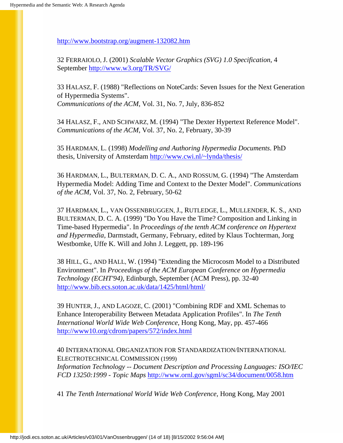<span id="page-31-0"></span><http://www.bootstrap.org/augment-132082.htm>

<span id="page-31-1"></span>32 FERRAIOLO, J. (2001) *Scalable Vector Graphics (SVG) 1.0 Specification*, 4 September <http://www.w3.org/TR/SVG/>

33 HALASZ, F. (1988) "Reflections on NoteCards: Seven Issues for the Next Generation of Hypermedia Systems". *Communications of the ACM*, Vol. 31, No. 7, July, 836-852

<span id="page-31-2"></span>34 HALASZ, F., AND SCHWARZ, M. (1994) "The Dexter Hypertext Reference Model". *Communications of the ACM*, Vol. 37, No. 2, February, 30-39

<span id="page-31-8"></span>35 HARDMAN, L. (1998) *Modelling and Authoring Hypermedia Documents*. PhD thesis, University of Amsterdam [http://www.cwi.nl/~lynda/thesis/](http://www.cwi.nl/%7elynda/thesis/)

<span id="page-31-5"></span>36 HARDMAN, L., BULTERMAN, D. C. A., AND ROSSUM, G. (1994) "The Amsterdam Hypermedia Model: Adding Time and Context to the Dexter Model". *Communications of the ACM*, Vol. 37, No. 2, February, 50-62

<span id="page-31-6"></span>37 HARDMAN, L., VAN OSSENBRUGGEN, J., RUTLEDGE, L., MULLENDER, K. S., AND BULTERMAN, D. C. A. (1999) "Do You Have the Time? Composition and Linking in Time-based Hypermedia". In *Proceedings of the tenth ACM conference on Hypertext and Hypermedia,* Darmstadt, Germany, February, edited by Klaus Tochterman, Jorg Westbomke, Uffe K. Will and John J. Leggett, pp. 189-196

<span id="page-31-4"></span>38 HILL, G., AND HALL, W. (1994) "Extending the Microcosm Model to a Distributed Environment". In *Proceedings of the ACM European Conference on Hypermedia Technology (ECHT'94),* Edinburgh, September (ACM Press), pp. 32-40 <http://www.bib.ecs.soton.ac.uk/data/1425/html/html/>

<span id="page-31-7"></span>39 HUNTER, J., AND LAGOZE, C. (2001) "Combining RDF and XML Schemas to Enhance Interoperability Between Metadata Application Profiles". In *The Tenth International World Wide Web Conference*, Hong Kong, May, pp. 457-466 <http://www10.org/cdrom/papers/572/index.html>

<span id="page-31-3"></span>40 INTERNATIONAL ORGANIZATION FOR STANDARDIZATION/INTERNATIONAL ELECTROTECHNICAL COMMISSION (1999) *Information Technology -- Document Description and Processing Languages: ISO/IEC FCD 13250:1999 - Topic Maps* <http://www.ornl.gov/sgml/sc34/document/0058.htm>

41 *The Tenth International World Wide Web Conference,* Hong Kong, May 2001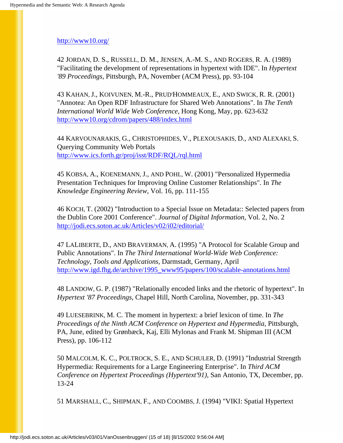#### <span id="page-32-4"></span><http://www10.org/>

42 JORDAN, D. S., RUSSELL, D. M., JENSEN, A.-M. S., AND ROGERS, R. A. (1989) "Facilitating the development of representations in hypertext with IDE". In *Hypertext '89 Proceedings,* Pittsburgh, PA, November (ACM Press), pp. 93-104

<span id="page-32-8"></span>43 KAHAN, J., KOIVUNEN, M.-R., PRUD'HOMMEAUX, E., AND SWICK, R. R. (2001) "Annotea: An Open RDF Infrastructure for Shared Web Annotations". In *The Tenth International World Wide Web Conference,* Hong Kong, May, pp. 623-632 <http://www10.org/cdrom/papers/488/index.html>

<span id="page-32-2"></span>44 KARVOUNARAKIS, G., CHRISTOPHIDES, V., PLEXOUSAKIS, D., AND ALEXAKI, S. Querying Community Web Portals <http://www.ics.forth.gr/proj/isst/RDF/RQL/rql.html>

<span id="page-32-7"></span>45 KOBSA, A., KOENEMANN, J., AND POHL, W. (2001) "Personalized Hypermedia Presentation Techniques for Improving Online Customer Relationships". In *The Knowledge Engineering Review*, Vol. 16, pp. 111-155

<span id="page-32-0"></span>46 KOCH, T. (2002) "Introduction to a Special Issue on Metadata:: Selected papers from the Dublin Core 2001 Conference". *Journal of Digital Information,* Vol. 2, No. 2 <http://jodi.ecs.soton.ac.uk/Articles/v02/i02/editorial/>

<span id="page-32-5"></span>47 LALIBERTE, D., AND BRAVERMAN, A. (1995) "A Protocol for Scalable Group and Public Annotations". In *The Third International World-Wide Web Conference: Technology, Tools and Applications,* Darmstadt, Germany, April [http://www.igd.fhg.de/archive/1995\\_www95/papers/100/scalable-annotations.html](http://www.igd.fhg.de/archive/1995_www95/papers/100/scalable-annotations.html)

<span id="page-32-1"></span>48 LANDOW, G. P. (1987) "Relationally encoded links and the rhetoric of hypertext". In *Hypertext '87 Proceedings,* Chapel Hill, North Carolina, November, pp. 331-343

<span id="page-32-9"></span>49 LUESEBRINK, M. C. The moment in hypertext: a brief lexicon of time. In *The Proceedings of the Ninth ACM Conference on Hypertext and Hypermedia,* Pittsburgh, PA, June, edited by Grønbæck, Kaj, Elli Mylonas and Frank M. Shipman III (ACM Press), pp. 106-112

<span id="page-32-3"></span>50 MALCOLM, K. C., POLTROCK, S. E., AND SCHULER, D. (1991) "Industrial Strength Hypermedia: Requirements for a Large Engineering Enterprise". In *Third ACM Conference on Hypertext Proceedings (Hypertext'91),* San Antonio, TX, December, pp. 13-24

<span id="page-32-6"></span>51 MARSHALL, C., SHIPMAN, F., AND COOMBS, J. (1994) "VIKI: Spatial Hypertext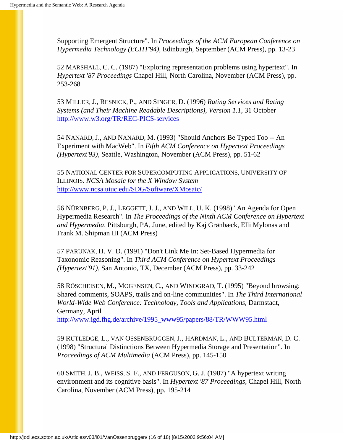Supporting Emergent Structure". In *Proceedings of the ACM European Conference on Hypermedia Technology (ECHT'94),* Edinburgh, September (ACM Press), pp. 13-23

<span id="page-33-0"></span>52 MARSHALL, C. C. (1987) "Exploring representation problems using hypertext". In *Hypertext '87 Proceedings* Chapel Hill, North Carolina, November (ACM Press), pp. 253-268

<span id="page-33-2"></span>53 MILLER, J., RESNICK, P., AND SINGER, D. (1996) *Rating Services and Rating Systems (and Their Machine Readable Descriptions), Version 1.1*, 31 October <http://www.w3.org/TR/REC-PICS-services>

<span id="page-33-4"></span>54 NANARD, J., AND NANARD, M. (1993) "Should Anchors Be Typed Too -- An Experiment with MacWeb". In *Fifth ACM Conference on Hypertext Proceedings (Hypertext'93),* Seattle, Washington, November (ACM Press), pp. 51-62

<span id="page-33-5"></span>55 NATIONAL CENTER FOR SUPERCOMPUTING APPLICATIONS, UNIVERSITY OF ILLINOIS. *NCSA Mosaic for the X Window System* <http://www.ncsa.uiuc.edu/SDG/Software/XMosaic/>

<span id="page-33-8"></span>56 NÜRNBERG, P. J., LEGGETT, J. J., AND WILL, U. K. (1998) "An Agenda for Open Hypermedia Research". In *The Proceedings of the Ninth ACM Conference on Hypertext and Hypermedia,* Pittsburgh, PA, June, edited by Kaj Grønbæck, Elli Mylonas and Frank M. Shipman III (ACM Press)

<span id="page-33-7"></span>57 PARUNAK, H. V. D. (1991) "Don't Link Me In: Set-Based Hypermedia for Taxonomic Reasoning". In *Third ACM Conference on Hypertext Proceedings (Hypertext'91),* San Antonio, TX, December (ACM Press), pp. 33-242

<span id="page-33-6"></span>58 RÖSCHEISEN, M., MOGENSEN, C., AND WINOGRAD, T. (1995) "Beyond browsing: Shared comments, SOAPS, trails and on-line communities". In *The Third International World-Wide Web Conference: Technology, Tools and Applications,* Darmstadt, Germany, April [http://www.igd.fhg.de/archive/1995\\_www95/papers/88/TR/WWW95.html](http://www.igd.fhg.de/archive/1995_www95/papers/88/TR/WWW95.html)

<span id="page-33-9"></span>59 RUTLEDGE, L., VAN OSSENBRUGGEN, J., HARDMAN, L., AND BULTERMAN, D. C. (1998) "Structural Distinctions Between Hypermedia Storage and Presentation". In *Proceedings of ACM Multimedia* (ACM Press), pp. 145-150

<span id="page-33-3"></span><span id="page-33-1"></span>60 SMITH, J. B., WEISS, S. F., AND FERGUSON, G. J. (1987) "A hypertext writing environment and its cognitive basis". In *Hypertext '87 Proceedings,* Chapel Hill, North Carolina, November (ACM Press), pp. 195-214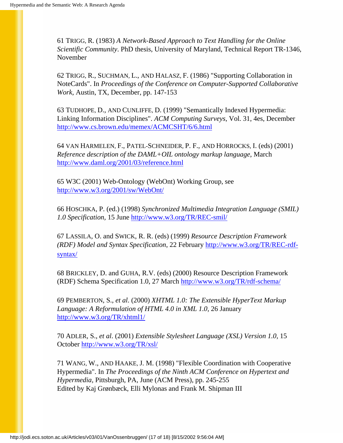61 TRIGG, R. (1983) *A Network-Based Approach to Text Handling for the Online Scientific Community*. PhD thesis, University of Maryland, Technical Report TR-1346, November

<span id="page-34-8"></span>62 TRIGG, R., SUCHMAN, L., AND HALASZ, F. (1986) "Supporting Collaboration in NoteCards". In *Proceedings of the Conference on Computer-Supported Collaborative Work,* Austin, TX, December, pp. 147-153

<span id="page-34-7"></span>63 TUDHOPE, D., AND CUNLIFFE, D. (1999) "Semantically Indexed Hypermedia: Linking Information Disciplines". *ACM Computing Surveys*, Vol. 31, 4es, December <http://www.cs.brown.edu/memex/ACMCSHT/6/6.html>

<span id="page-34-5"></span>64 VAN HARMELEN, F., PATEL-SCHNEIDER, P. F., AND HORROCKS, I. (eds) (2001) *Reference description of the DAML+OIL ontology markup language*, March <http://www.daml.org/2001/03/reference.html>

<span id="page-34-6"></span>65 W3C (2001) Web-Ontology (WebOnt) Working Group, see <http://www.w3.org/2001/sw/WebOnt/>

<span id="page-34-1"></span>66 HOSCHKA, P. (ed.) (1998) *Synchronized Multimedia Integration Language (SMIL) 1.0 Specification,* 15 June<http://www.w3.org/TR/REC-smil/>

<span id="page-34-3"></span>67 LASSILA, O. and SWICK, R. R. (eds) (1999) *Resource Description Framework (RDF) Model and Syntax Specification*, 22 February [http://www.w3.org/TR/REC-rdf](http://www.w3.org/TR/REC-rdf-syntax/)[syntax/](http://www.w3.org/TR/REC-rdf-syntax/)

<span id="page-34-4"></span>68 BRICKLEY, D. and GUHA, R.V. (eds) (2000) Resource Description Framework (RDF) Schema Specification 1.0, 27 March<http://www.w3.org/TR/rdf-schema/>

<span id="page-34-0"></span>69 PEMBERTON, S., *et al*. (2000) *XHTML 1.0: The Extensible HyperText Markup Language: A Reformulation of HTML 4.0 in XML 1.0,* 26 January <http://www.w3.org/TR/xhtml1/>

<span id="page-34-2"></span>70 ADLER, S., *et al*. (2001) *Extensible Stylesheet Language (XSL) Version 1.0*, 15 October<http://www.w3.org/TR/xsl/>

<span id="page-34-10"></span><span id="page-34-9"></span>71 WANG, W., AND HAAKE, J. M. (1998) "Flexible Coordination with Cooperative Hypermedia". In *The Proceedings of the Ninth ACM Conference on Hypertext and Hypermedia,* Pittsburgh, PA, June (ACM Press), pp. 245-255 Edited by Kaj Grønbæck, Elli Mylonas and Frank M. Shipman III